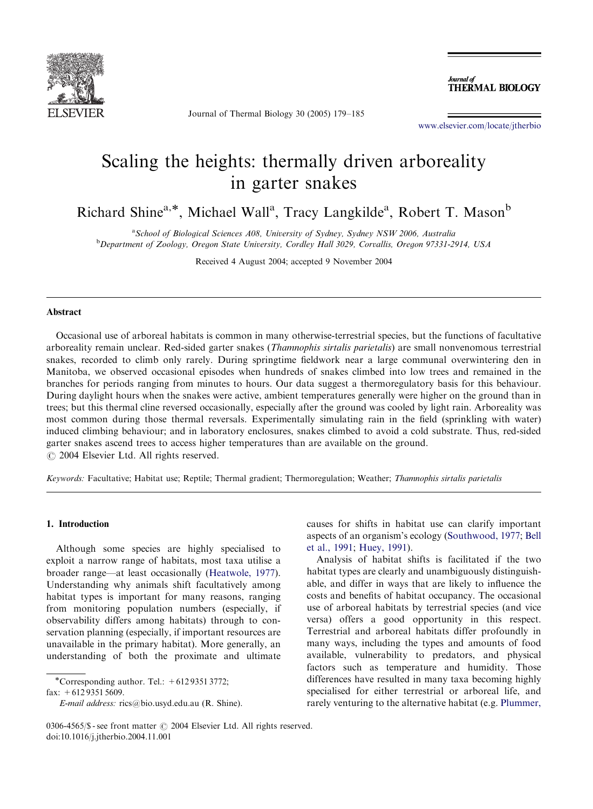

Journal of Thermal Biology 30 (2005) 179–185

Journal of **THERMAL BIOLOGY** 

<www.elsevier.com/locate/jtherbio>

# Scaling the heights: thermally driven arboreality in garter snakes

Richard Shine<sup>a,\*</sup>, Michael Wall<sup>a</sup>, Tracy Langkilde<sup>a</sup>, Robert T. Mason<sup>b</sup>

<sup>a</sup> School of Biological Sciences A08, University of Sydney, Sydney NSW 2006, Australia <sup>b</sup> Department of Zoology, Oregon State University, Cordley Hall 3029, Corvallis, Oregon 97331-2914, USA

Received 4 August 2004; accepted 9 November 2004

# Abstract

Occasional use of arboreal habitats is common in many otherwise-terrestrial species, but the functions of facultative arboreality remain unclear. Red-sided garter snakes (*Thamnophis sirtalis parietalis*) are small nonvenomous terrestrial snakes, recorded to climb only rarely. During springtime fieldwork near a large communal overwintering den in Manitoba, we observed occasional episodes when hundreds of snakes climbed into low trees and remained in the branches for periods ranging from minutes to hours. Our data suggest a thermoregulatory basis for this behaviour. During daylight hours when the snakes were active, ambient temperatures generally were higher on the ground than in trees; but this thermal cline reversed occasionally, especially after the ground was cooled by light rain. Arboreality was most common during those thermal reversals. Experimentally simulating rain in the field (sprinkling with water) induced climbing behaviour; and in laboratory enclosures, snakes climbed to avoid a cold substrate. Thus, red-sided garter snakes ascend trees to access higher temperatures than are available on the ground.  $\odot$  2004 Elsevier Ltd. All rights reserved.

Keywords: Facultative; Habitat use; Reptile; Thermal gradient; Thermoregulation; Weather; Thamnophis sirtalis parietalis

# 1. Introduction

Although some species are highly specialised to exploit a narrow range of habitats, most taxa utilise a broader range—at least occasionally ([Heatwole, 1977](#page-5-0)). Understanding why animals shift facultatively among habitat types is important for many reasons, ranging from monitoring population numbers (especially, if observability differs among habitats) through to conservation planning (especially, if important resources are unavailable in the primary habitat). More generally, an understanding of both the proximate and ultimate

\*Corresponding author. Tel.:  $+61293513772$ ;

fax:  $+61293515609$ .

causes for shifts in habitat use can clarify important aspects of an organism's ecology ([Southwood, 1977](#page-6-0); [Bell](#page-5-0) [et al., 1991](#page-5-0); [Huey, 1991\)](#page-5-0).

Analysis of habitat shifts is facilitated if the two habitat types are clearly and unambiguously distinguishable, and differ in ways that are likely to influence the costs and benefits of habitat occupancy. The occasional use of arboreal habitats by terrestrial species (and vice versa) offers a good opportunity in this respect. Terrestrial and arboreal habitats differ profoundly in many ways, including the types and amounts of food available, vulnerability to predators, and physical factors such as temperature and humidity. Those differences have resulted in many taxa becoming highly specialised for either terrestrial or arboreal life, and rarely venturing to the alternative habitat (e.g. [Plummer,](#page-5-0)

E-mail address: rics@bio.usyd.edu.au (R. Shine).

<sup>0306-4565/\$ -</sup> see front matter  $\odot$  2004 Elsevier Ltd. All rights reserved. doi:10.1016/j.jtherbio.2004.11.001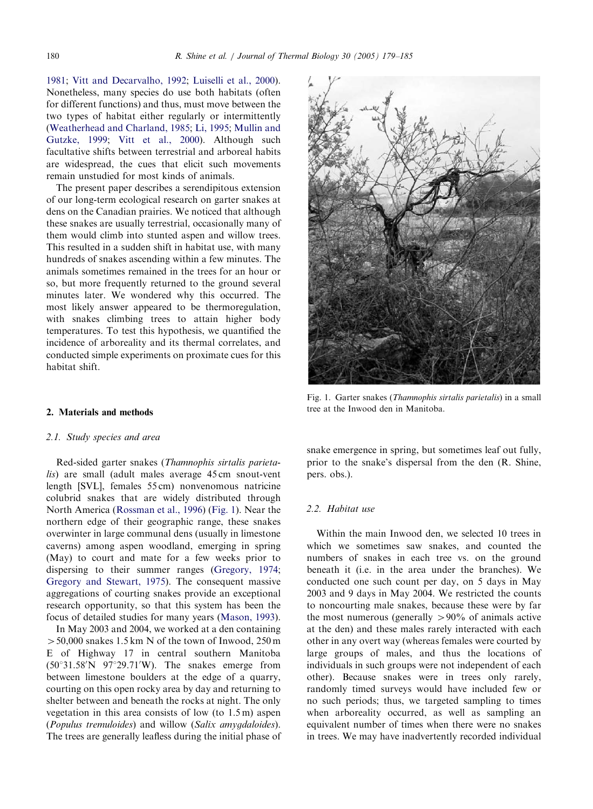[1981](#page-5-0); [Vitt and Decarvalho, 1992](#page-6-0); [Luiselli et al., 2000](#page-5-0)). Nonetheless, many species do use both habitats (often for different functions) and thus, must move between the two types of habitat either regularly or intermittently ([Weatherhead and Charland, 1985](#page-6-0); [Li, 1995](#page-5-0); [Mullin and](#page-5-0) [Gutzke, 1999;](#page-5-0) [Vitt et al., 2000](#page-6-0)). Although such facultative shifts between terrestrial and arboreal habits are widespread, the cues that elicit such movements remain unstudied for most kinds of animals.

The present paper describes a serendipitous extension of our long-term ecological research on garter snakes at dens on the Canadian prairies. We noticed that although these snakes are usually terrestrial, occasionally many of them would climb into stunted aspen and willow trees. This resulted in a sudden shift in habitat use, with many hundreds of snakes ascending within a few minutes. The animals sometimes remained in the trees for an hour or so, but more frequently returned to the ground several minutes later. We wondered why this occurred. The most likely answer appeared to be thermoregulation, with snakes climbing trees to attain higher body temperatures. To test this hypothesis, we quantified the incidence of arboreality and its thermal correlates, and conducted simple experiments on proximate cues for this habitat shift.

## 2. Materials and methods

#### 2.1. Study species and area

Red-sided garter snakes (Thamnophis sirtalis parietalis) are small (adult males average 45 cm snout-vent length [SVL], females 55 cm) nonvenomous natricine colubrid snakes that are widely distributed through North America ([Rossman et al., 1996\)](#page-5-0) (Fig. 1). Near the northern edge of their geographic range, these snakes overwinter in large communal dens (usually in limestone caverns) among aspen woodland, emerging in spring (May) to court and mate for a few weeks prior to dispersing to their summer ranges [\(Gregory, 1974](#page-5-0); [Gregory and Stewart, 1975\)](#page-5-0). The consequent massive aggregations of courting snakes provide an exceptional research opportunity, so that this system has been the focus of detailed studies for many years [\(Mason, 1993](#page-5-0)).

In May 2003 and 2004, we worked at a den containing  $>$  50,000 snakes 1.5 km N of the town of Inwood, 250 m E of Highway 17 in central southern Manitoba  $(50^{\circ}31.58'N \t 97^{\circ}29.71'W)$ . The snakes emerge from between limestone boulders at the edge of a quarry, courting on this open rocky area by day and returning to shelter between and beneath the rocks at night. The only vegetation in this area consists of low (to 1.5 m) aspen (Populus tremuloides) and willow (Salix amygdaloides). The trees are generally leafless during the initial phase of



Fig. 1. Garter snakes (Thamnophis sirtalis parietalis) in a small tree at the Inwood den in Manitoba.

snake emergence in spring, but sometimes leaf out fully, prior to the snake's dispersal from the den (R. Shine, pers. obs.).

## 2.2. Habitat use

Within the main Inwood den, we selected 10 trees in which we sometimes saw snakes, and counted the numbers of snakes in each tree vs. on the ground beneath it (i.e. in the area under the branches). We conducted one such count per day, on 5 days in May 2003 and 9 days in May 2004. We restricted the counts to noncourting male snakes, because these were by far the most numerous (generally  $> 90\%$  of animals active at the den) and these males rarely interacted with each other in any overt way (whereas females were courted by large groups of males, and thus the locations of individuals in such groups were not independent of each other). Because snakes were in trees only rarely, randomly timed surveys would have included few or no such periods; thus, we targeted sampling to times when arboreality occurred, as well as sampling an equivalent number of times when there were no snakes in trees. We may have inadvertently recorded individual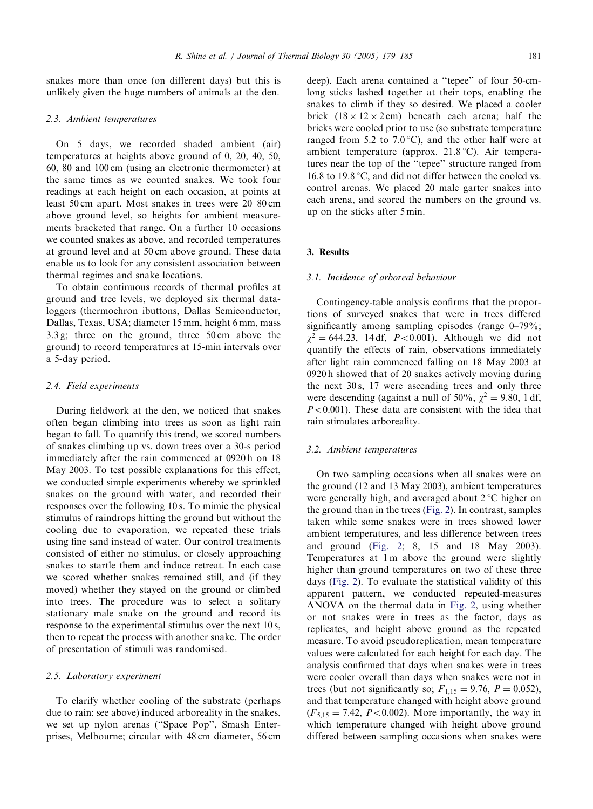snakes more than once (on different days) but this is unlikely given the huge numbers of animals at the den.

## 2.3. Ambient temperatures

On 5 days, we recorded shaded ambient (air) temperatures at heights above ground of 0, 20, 40, 50, 60, 80 and 100 cm (using an electronic thermometer) at the same times as we counted snakes. We took four readings at each height on each occasion, at points at least 50 cm apart. Most snakes in trees were 20–80 cm above ground level, so heights for ambient measurements bracketed that range. On a further 10 occasions we counted snakes as above, and recorded temperatures at ground level and at 50 cm above ground. These data enable us to look for any consistent association between thermal regimes and snake locations.

To obtain continuous records of thermal profiles at ground and tree levels, we deployed six thermal dataloggers (thermochron ibuttons, Dallas Semiconductor, Dallas, Texas, USA; diameter 15 mm, height 6 mm, mass 3.3 g; three on the ground, three 50 cm above the ground) to record temperatures at 15-min intervals over a 5-day period.

## 2.4. Field experiments

During fieldwork at the den, we noticed that snakes often began climbing into trees as soon as light rain began to fall. To quantify this trend, we scored numbers of snakes climbing up vs. down trees over a 30-s period immediately after the rain commenced at 0920 h on 18 May 2003. To test possible explanations for this effect, we conducted simple experiments whereby we sprinkled snakes on the ground with water, and recorded their responses over the following 10 s. To mimic the physical stimulus of raindrops hitting the ground but without the cooling due to evaporation, we repeated these trials using fine sand instead of water. Our control treatments consisted of either no stimulus, or closely approaching snakes to startle them and induce retreat. In each case we scored whether snakes remained still, and (if they moved) whether they stayed on the ground or climbed into trees. The procedure was to select a solitary stationary male snake on the ground and record its response to the experimental stimulus over the next 10 s, then to repeat the process with another snake. The order of presentation of stimuli was randomised.

#### 2.5. Laboratory experiment

To clarify whether cooling of the substrate (perhaps due to rain: see above) induced arboreality in the snakes, we set up nylon arenas (''Space Pop'', Smash Enterprises, Melbourne; circular with 48 cm diameter, 56 cm deep). Each arena contained a ''tepee'' of four 50-cmlong sticks lashed together at their tops, enabling the snakes to climb if they so desired. We placed a cooler brick  $(18 \times 12 \times 2 \text{ cm})$  beneath each arena; half the bricks were cooled prior to use (so substrate temperature ranged from 5.2 to 7.0 °C), and the other half were at ambient temperature (approx.  $21.8\textdegree C$ ). Air temperatures near the top of the ''tepee'' structure ranged from 16.8 to 19.8  $\degree$ C, and did not differ between the cooled vs. control arenas. We placed 20 male garter snakes into each arena, and scored the numbers on the ground vs. up on the sticks after 5 min.

## 3. Results

## 3.1. Incidence of arboreal behaviour

Contingency-table analysis confirms that the proportions of surveyed snakes that were in trees differed significantly among sampling episodes (range 0–79%;  $\chi^2 = 644.23$ , 14 df, P<0.001). Although we did not quantify the effects of rain, observations immediately after light rain commenced falling on 18 May 2003 at 0920 h showed that of 20 snakes actively moving during the next 30 s, 17 were ascending trees and only three were descending (against a null of 50%,  $\chi^2 = 9.80$ , 1 df,  $P<0.001$ ). These data are consistent with the idea that rain stimulates arboreality.

## 3.2. Ambient temperatures

On two sampling occasions when all snakes were on the ground (12 and 13 May 2003), ambient temperatures were generally high, and averaged about  $2^{\circ}$ C higher on the ground than in the trees [\(Fig. 2](#page-3-0)). In contrast, samples taken while some snakes were in trees showed lower ambient temperatures, and less difference between trees and ground ([Fig. 2](#page-3-0); 8, 15 and 18 May 2003). Temperatures at 1 m above the ground were slightly higher than ground temperatures on two of these three days [\(Fig. 2](#page-3-0)). To evaluate the statistical validity of this apparent pattern, we conducted repeated-measures ANOVA on the thermal data in [Fig. 2](#page-3-0), using whether or not snakes were in trees as the factor, days as replicates, and height above ground as the repeated measure. To avoid pseudoreplication, mean temperature values were calculated for each height for each day. The analysis confirmed that days when snakes were in trees were cooler overall than days when snakes were not in trees (but not significantly so;  $F_{1,15} = 9.76$ ,  $P = 0.052$ ), and that temperature changed with height above ground  $(F_{5,15} = 7.42, P < 0.002)$ . More importantly, the way in which temperature changed with height above ground differed between sampling occasions when snakes were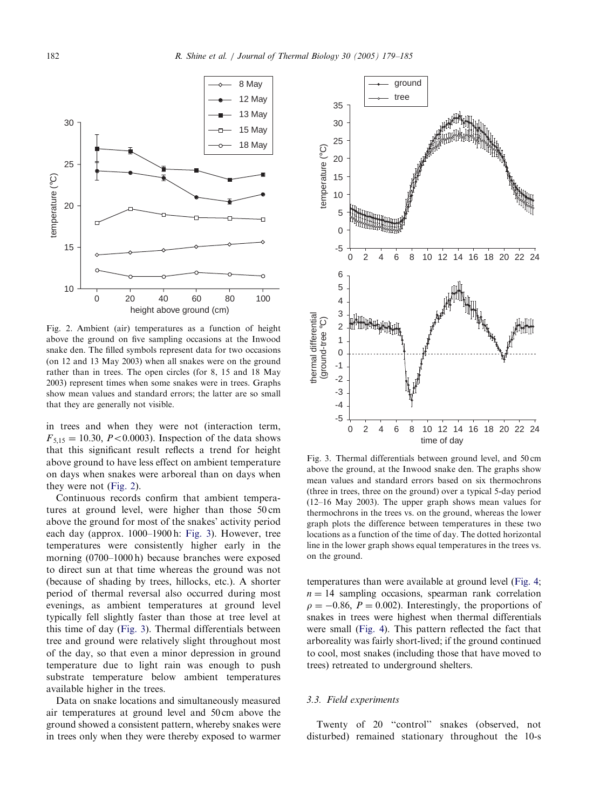<span id="page-3-0"></span>

Fig. 2. Ambient (air) temperatures as a function of height above the ground on five sampling occasions at the Inwood snake den. The filled symbols represent data for two occasions (on 12 and 13 May 2003) when all snakes were on the ground rather than in trees. The open circles (for 8, 15 and 18 May 2003) represent times when some snakes were in trees. Graphs show mean values and standard errors; the latter are so small that they are generally not visible.

in trees and when they were not (interaction term,  $F_{5,15} = 10.30, P < 0.0003$ . Inspection of the data shows that this significant result reflects a trend for height above ground to have less effect on ambient temperature on days when snakes were arboreal than on days when they were not (Fig. 2).

Continuous records confirm that ambient temperatures at ground level, were higher than those 50 cm above the ground for most of the snakes' activity period each day (approx. 1000–1900 h: Fig. 3). However, tree temperatures were consistently higher early in the morning (0700–1000 h) because branches were exposed to direct sun at that time whereas the ground was not (because of shading by trees, hillocks, etc.). A shorter period of thermal reversal also occurred during most evenings, as ambient temperatures at ground level typically fell slightly faster than those at tree level at this time of day (Fig. 3). Thermal differentials between tree and ground were relatively slight throughout most of the day, so that even a minor depression in ground temperature due to light rain was enough to push substrate temperature below ambient temperatures available higher in the trees.

Data on snake locations and simultaneously measured air temperatures at ground level and 50 cm above the ground showed a consistent pattern, whereby snakes were in trees only when they were thereby exposed to warmer



Fig. 3. Thermal differentials between ground level, and 50 cm above the ground, at the Inwood snake den. The graphs show mean values and standard errors based on six thermochrons (three in trees, three on the ground) over a typical 5-day period (12–16 May 2003). The upper graph shows mean values for thermochrons in the trees vs. on the ground, whereas the lower graph plots the difference between temperatures in these two locations as a function of the time of day. The dotted horizontal line in the lower graph shows equal temperatures in the trees vs. on the ground.

temperatures than were available at ground level [\(Fig. 4](#page-4-0);  $n = 14$  sampling occasions, spearman rank correlation  $\rho = -0.86$ ,  $P = 0.002$ ). Interestingly, the proportions of snakes in trees were highest when thermal differentials were small [\(Fig. 4\)](#page-4-0). This pattern reflected the fact that arboreality was fairly short-lived; if the ground continued to cool, most snakes (including those that have moved to trees) retreated to underground shelters.

## 3.3. Field experiments

Twenty of 20 ''control'' snakes (observed, not disturbed) remained stationary throughout the 10-s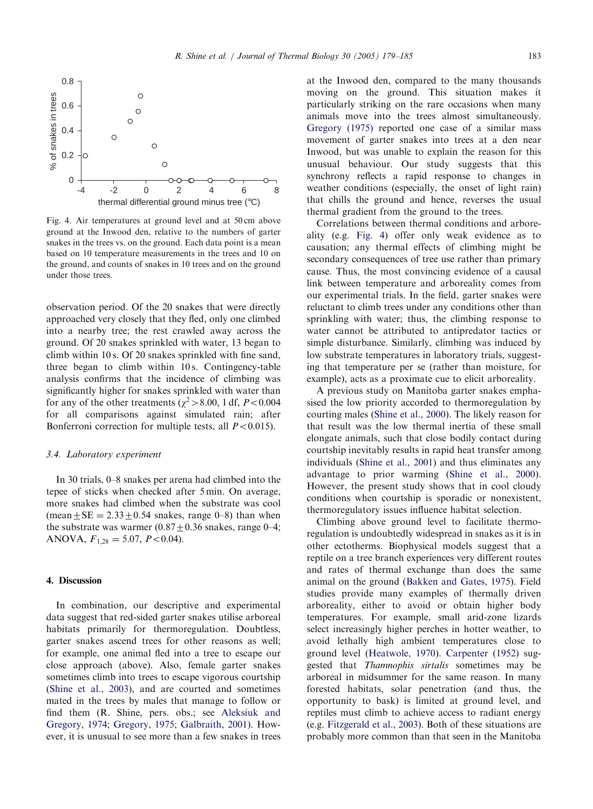<span id="page-4-0"></span>

Fig. 4. Air temperatures at ground level and at 50 cm above ground at the Inwood den, relative to the numbers of garter snakes in the trees vs. on the ground. Each data point is a mean based on 10 temperature measurements in the trees and 10 on the ground, and counts of snakes in 10 trees and on the ground under those trees.

observation period. Of the 20 snakes that were directly approached very closely that they fled, only one climbed into a nearby tree; the rest crawled away across the ground. Of 20 snakes sprinkled with water, 13 began to climb within 10 s. Of 20 snakes sprinkled with fine sand, three began to climb within 10 s. Contingency-table analysis confirms that the incidence of climbing was significantly higher for snakes sprinkled with water than for any of the other treatments ( $\chi^2$  > 8.00, 1 df, P < 0.004 for all comparisons against simulated rain; after Bonferroni correction for multiple tests, all  $P < 0.015$ ).

## 3.4. Laboratory experiment

In 30 trials, 0–8 snakes per arena had climbed into the tepee of sticks when checked after 5 min. On average, more snakes had climbed when the substrate was cool (mean  $\pm$  SE = 2.33 $\pm$ 0.54 snakes, range 0–8) than when the substrate was warmer  $(0.87 \pm 0.36$  snakes, range 0–4; ANOVA,  $F_{1,28} = 5.07, P < 0.04$ .

## 4. Discussion

In combination, our descriptive and experimental data suggest that red-sided garter snakes utilise arboreal habitats primarily for thermoregulation. Doubtless, garter snakes ascend trees for other reasons as well; for example, one animal fled into a tree to escape our close approach (above). Also, female garter snakes sometimes climb into trees to escape vigorous courtship ([Shine et al., 2003](#page-6-0)), and are courted and sometimes mated in the trees by males that manage to follow or find them (R. Shine, pers. obs.; see [Aleksiuk and](#page-5-0) [Gregory, 1974](#page-5-0); [Gregory, 1975](#page-5-0); [Galbraith, 2001](#page-5-0)). However, it is unusual to see more than a few snakes in trees

at the Inwood den, compared to the many thousands moving on the ground. This situation makes it particularly striking on the rare occasions when many animals move into the trees almost simultaneously. [Gregory \(1975\)](#page-5-0) reported one case of a similar mass movement of garter snakes into trees at a den near Inwood, but was unable to explain the reason for this unusual behaviour. Our study suggests that this synchrony reflects a rapid response to changes in weather conditions (especially, the onset of light rain) that chills the ground and hence, reverses the usual thermal gradient from the ground to the trees.

Correlations between thermal conditions and arboreality (e.g. Fig. 4) offer only weak evidence as to causation; any thermal effects of climbing might be secondary consequences of tree use rather than primary cause. Thus, the most convincing evidence of a causal link between temperature and arboreality comes from our experimental trials. In the field, garter snakes were reluctant to climb trees under any conditions other than sprinkling with water; thus, the climbing response to water cannot be attributed to antipredator tactics or simple disturbance. Similarly, climbing was induced by low substrate temperatures in laboratory trials, suggesting that temperature per se (rather than moisture, for example), acts as a proximate cue to elicit arboreality.

A previous study on Manitoba garter snakes emphasised the low priority accorded to thermoregulation by courting males ([Shine et al., 2000](#page-5-0)). The likely reason for that result was the low thermal inertia of these small elongate animals, such that close bodily contact during courtship inevitably results in rapid heat transfer among individuals ([Shine et al., 2001\)](#page-6-0) and thus eliminates any advantage to prior warming ([Shine et al., 2000](#page-5-0)). However, the present study shows that in cool cloudy conditions when courtship is sporadic or nonexistent, thermoregulatory issues influence habitat selection.

Climbing above ground level to facilitate thermoregulation is undoubtedly widespread in snakes as it is in other ectotherms. Biophysical models suggest that a reptile on a tree branch experiences very different routes and rates of thermal exchange than does the same animal on the ground ([Bakken and Gates, 1975\)](#page-5-0). Field studies provide many examples of thermally driven arboreality, either to avoid or obtain higher body temperatures. For example, small arid-zone lizards select increasingly higher perches in hotter weather, to avoid lethally high ambient temperatures close to ground level [\(Heatwole, 1970\)](#page-5-0). [Carpenter \(1952\)](#page-5-0) suggested that Thamnophis sirtalis sometimes may be arboreal in midsummer for the same reason. In many forested habitats, solar penetration (and thus, the opportunity to bask) is limited at ground level, and reptiles must climb to achieve access to radiant energy (e.g. [Fitzgerald et al., 2003\)](#page-5-0). Both of these situations are probably more common than that seen in the Manitoba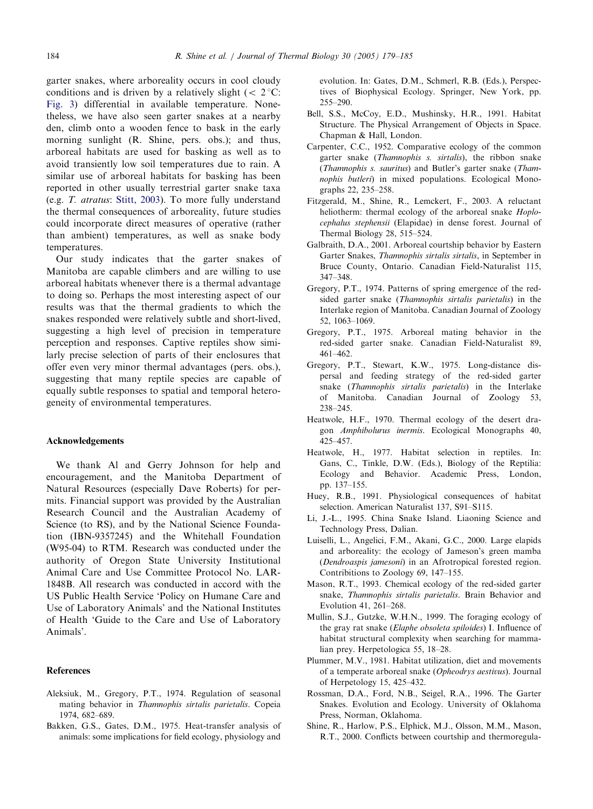<span id="page-5-0"></span>garter snakes, where arboreality occurs in cool cloudy conditions and is driven by a relatively slight ( $\lt 2^{\circ}$ C: [Fig. 3](#page-3-0)) differential in available temperature. Nonetheless, we have also seen garter snakes at a nearby den, climb onto a wooden fence to bask in the early morning sunlight (R. Shine, pers. obs.); and thus, arboreal habitats are used for basking as well as to avoid transiently low soil temperatures due to rain. A similar use of arboreal habitats for basking has been reported in other usually terrestrial garter snake taxa (e.g. T. atratus: [Stitt, 2003](#page-6-0)). To more fully understand the thermal consequences of arboreality, future studies could incorporate direct measures of operative (rather than ambient) temperatures, as well as snake body temperatures.

Our study indicates that the garter snakes of Manitoba are capable climbers and are willing to use arboreal habitats whenever there is a thermal advantage to doing so. Perhaps the most interesting aspect of our results was that the thermal gradients to which the snakes responded were relatively subtle and short-lived, suggesting a high level of precision in temperature perception and responses. Captive reptiles show similarly precise selection of parts of their enclosures that offer even very minor thermal advantages (pers. obs.), suggesting that many reptile species are capable of equally subtle responses to spatial and temporal heterogeneity of environmental temperatures.

### Acknowledgements

We thank Al and Gerry Johnson for help and encouragement, and the Manitoba Department of Natural Resources (especially Dave Roberts) for permits. Financial support was provided by the Australian Research Council and the Australian Academy of Science (to RS), and by the National Science Foundation (IBN-9357245) and the Whitehall Foundation (W95-04) to RTM. Research was conducted under the authority of Oregon State University Institutional Animal Care and Use Committee Protocol No. LAR-1848B. All research was conducted in accord with the US Public Health Service 'Policy on Humane Care and Use of Laboratory Animals' and the National Institutes of Health 'Guide to the Care and Use of Laboratory Animals'.

#### References

- Aleksiuk, M., Gregory, P.T., 1974. Regulation of seasonal mating behavior in Thamnophis sirtalis parietalis. Copeia 1974, 682–689.
- Bakken, G.S., Gates, D.M., 1975. Heat-transfer analysis of animals: some implications for field ecology, physiology and

evolution. In:Gates, D.M., Schmerl, R.B. (Eds.), Perspectives of Biophysical Ecology. Springer, New York, pp. 255–290.

- Bell, S.S., McCoy, E.D., Mushinsky, H.R., 1991. Habitat Structure. The Physical Arrangement of Objects in Space. Chapman & Hall, London.
- Carpenter, C.C., 1952. Comparative ecology of the common garter snake (*Thamnophis s. sirtalis*), the ribbon snake (Thamnophis s. sauritus) and Butler's garter snake (Thamnophis butleri) in mixed populations. Ecological Monographs 22, 235–258.
- Fitzgerald, M., Shine, R., Lemckert, F., 2003. A reluctant heliotherm: thermal ecology of the arboreal snake Hoplocephalus stephensii (Elapidae) in dense forest. Journal of Thermal Biology 28, 515–524.
- Galbraith, D.A., 2001. Arboreal courtship behavior by Eastern Garter Snakes, Thamnophis sirtalis sirtalis, in September in Bruce County, Ontario. Canadian Field-Naturalist 115, 347–348.
- Gregory, P.T., 1974. Patterns of spring emergence of the redsided garter snake (Thamnophis sirtalis parietalis) in the Interlake region of Manitoba. Canadian Journal of Zoology 52, 1063–1069.
- Gregory, P.T., 1975. Arboreal mating behavior in the red-sided garter snake. Canadian Field-Naturalist 89, 461–462.
- Gregory, P.T., Stewart, K.W., 1975. Long-distance dispersal and feeding strategy of the red-sided garter snake (Thamnophis sirtalis parietalis) in the Interlake of Manitoba. Canadian Journal of Zoology 53, 238–245.
- Heatwole, H.F., 1970. Thermal ecology of the desert dragon Amphibolurus inermis. Ecological Monographs 40, 425–457.
- Heatwole, H., 1977. Habitat selection in reptiles. In: Gans, C., Tinkle, D.W. (Eds.), Biology of the Reptilia: Ecology and Behavior. Academic Press, London, pp. 137–155.
- Huey, R.B., 1991. Physiological consequences of habitat selection. American Naturalist 137, S91–S115.
- Li, J.-L., 1995. China Snake Island. Liaoning Science and Technology Press, Dalian.
- Luiselli, L., Angelici, F.M., Akani, G.C., 2000. Large elapids and arboreality: the ecology of Jameson's green mamba (Dendroaspis jamesoni) in an Afrotropical forested region. Contribitions to Zoology 69, 147–155.
- Mason, R.T., 1993. Chemical ecology of the red-sided garter snake, Thamnophis sirtalis parietalis. Brain Behavior and Evolution 41, 261–268.
- Mullin, S.J., Gutzke, W.H.N., 1999. The foraging ecology of the gray rat snake (Elaphe obsoleta spiloides) I. Influence of habitat structural complexity when searching for mammalian prey. Herpetologica 55, 18–28.
- Plummer, M.V., 1981. Habitat utilization, diet and movements of a temperate arboreal snake (Opheodrys aestivus). Journal of Herpetology 15, 425–432.
- Rossman, D.A., Ford, N.B., Seigel, R.A., 1996. The Garter Snakes. Evolution and Ecology. University of Oklahoma Press, Norman, Oklahoma.
- Shine, R., Harlow, P.S., Elphick, M.J., Olsson, M.M., Mason, R.T., 2000. Conflicts between courtship and thermoregula-